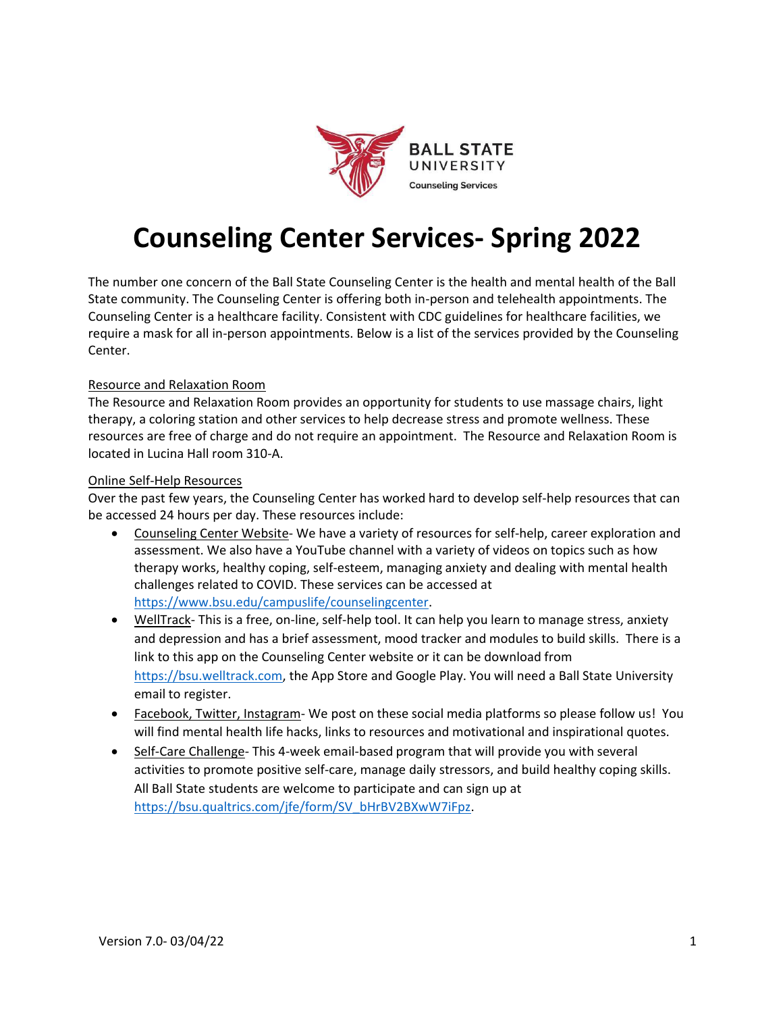

# **Counseling Center Services- Spring 2022**

The number one concern of the Ball State Counseling Center is the health and mental health of the Ball State community. The Counseling Center is offering both in-person and telehealth appointments. The Counseling Center is a healthcare facility. Consistent with CDC guidelines for healthcare facilities, we require a mask for all in-person appointments. Below is a list of the services provided by the Counseling Center.

### Resource and Relaxation Room

The Resource and Relaxation Room provides an opportunity for students to use massage chairs, light therapy, a coloring station and other services to help decrease stress and promote wellness. These resources are free of charge and do not require an appointment. The Resource and Relaxation Room is located in Lucina Hall room 310-A.

#### Online Self-Help Resources

Over the past few years, the Counseling Center has worked hard to develop self-help resources that can be accessed 24 hours per day. These resources include:

- Counseling Center Website- We have a variety of resources for self-help, career exploration and assessment. We also have a YouTube channel with a variety of videos on topics such as how therapy works, healthy coping, self-esteem, managing anxiety and dealing with mental health challenges related to COVID. These services can be accessed at https:/[/www.bsu.edu/campuslife/counselingcenter.](http://www.bsu.edu/campuslife/counselingcenter)
- WellTrack- This is a free, on-line, self-help tool. It can help you learn to manage stress, anxiety and depression and has a brief assessment, mood tracker and modules to build skills. There is a link to this app on the Counseling Center website or it can be download from https://bsu.welltrack.com, the App Store and Google Play. You will need a Ball State University email to register.
- Facebook, Twitter, Instagram- We post on these social media platforms so please follow us! You will find mental health life hacks, links to resources and motivational and inspirational quotes.
- Self-Care Challenge- This 4-week email-based program that will provide you with several activities to promote positive self-care, manage daily stressors, and build healthy coping skills. All Ball State students are welcome to participate and can sign up at https://bsu.qualtrics.com/jfe/form/SV\_bHrBV2BXwW7iFpz.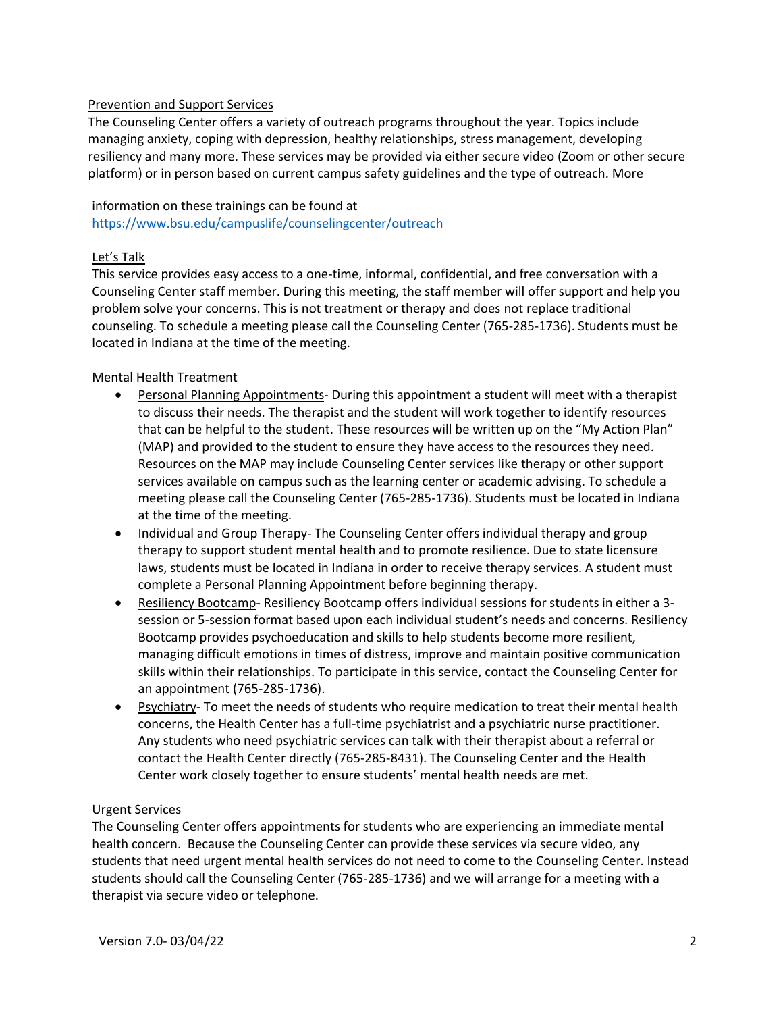# Prevention and Support Services

The Counseling Center offers a variety of outreach programs throughout the year. Topics include managing anxiety, coping with depression, healthy relationships, stress management, developing resiliency and many more. These services may be provided via either secure video (Zoom or other secure platform) or in person based on current campus safety guidelines and the type of outreach. More

### information on these trainings can be found at

https:/[/www.bsu.edu/campuslife/counselingcenter/outreach](http://www.bsu.edu/campuslife/counselingcenter/outreach)

### Let's Talk

This service provides easy access to a one-time, informal, confidential, and free conversation with a Counseling Center staff member. During this meeting, the staff member will offer support and help you problem solve your concerns. This is not treatment or therapy and does not replace traditional counseling. To schedule a meeting please call the Counseling Center (765-285-1736). Students must be located in Indiana at the time of the meeting.

# Mental Health Treatment

- Personal Planning Appointments- During this appointment a student will meet with a therapist to discuss their needs. The therapist and the student will work together to identify resources that can be helpful to the student. These resources will be written up on the "My Action Plan" (MAP) and provided to the student to ensure they have access to the resources they need. Resources on the MAP may include Counseling Center services like therapy or other support services available on campus such as the learning center or academic advising. To schedule a meeting please call the Counseling Center (765-285-1736). Students must be located in Indiana at the time of the meeting.
- Individual and Group Therapy- The Counseling Center offers individual therapy and group therapy to support student mental health and to promote resilience. Due to state licensure laws, students must be located in Indiana in order to receive therapy services. A student must complete a Personal Planning Appointment before beginning therapy.
- Resiliency Bootcamp- Resiliency Bootcamp offers individual sessions for students in either a 3 session or 5-session format based upon each individual student's needs and concerns. Resiliency Bootcamp provides psychoeducation and skills to help students become more resilient, managing difficult emotions in times of distress, improve and maintain positive communication skills within their relationships. To participate in this service, contact the Counseling Center for an appointment (765-285-1736).
- Psychiatry- To meet the needs of students who require medication to treat their mental health concerns, the Health Center has a full-time psychiatrist and a psychiatric nurse practitioner. Any students who need psychiatric services can talk with their therapist about a referral or contact the Health Center directly (765-285-8431). The Counseling Center and the Health Center work closely together to ensure students' mental health needs are met.

### Urgent Services

The Counseling Center offers appointments for students who are experiencing an immediate mental health concern. Because the Counseling Center can provide these services via secure video, any students that need urgent mental health services do not need to come to the Counseling Center. Instead students should call the Counseling Center (765-285-1736) and we will arrange for a meeting with a therapist via secure video or telephone.